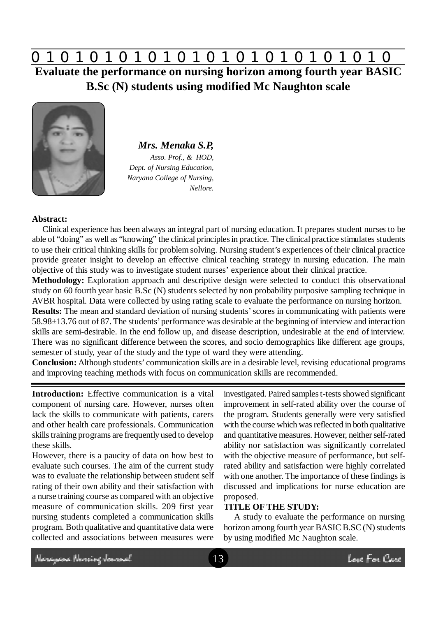# **0 z 0 z 0 z 0 z 0 z 0 z 0 z 0 z 0 z 0 z 0 z 0 z 0**

**Evaluate the performance on nursing horizon among fourth year BASIC B.Sc (N) students using modified Mc Naughton scale**



*Mrs. Menaka S.P, Asso. Prof., & HOD, Dept. of Nursing Education, Naryana College of Nursing, Nellore.*

# **Abstract:**

Clinical experience has been always an integral part of nursing education. It prepares student nurses to be able of "doing" as well as "knowing" the clinical principles in practice. The clinical practice stimulates students to use their critical thinking skills for problem solving. Nursing student's experiences of their clinical practice provide greater insight to develop an effective clinical teaching strategy in nursing education. The main objective of this study was to investigate student nurses' experience about their clinical practice.

**Methodology:** Exploration approach and descriptive design were selected to conduct this observational study on 60 fourth year basic B.Sc (N) students selected by non probability purposive sampling technique in AVBR hospital. Data were collected by using rating scale to evaluate the performance on nursing horizon.

**Results:** The mean and standard deviation of nursing students' scores in communicating with patients were 58.98±13.76 out of 87. The students' performance was desirable at the beginning of interview and interaction skills are semi-desirable. In the end follow up, and disease description, undesirable at the end of interview. There was no significant difference between the scores, and socio demographics like different age groups, semester of study, year of the study and the type of ward they were attending.

**Conclusion:** Although students' communication skills are in a desirable level, revising educational programs and improving teaching methods with focus on communication skills are recommended.

**Introduction:** Effective communication is a vital component of nursing care. However, nurses often lack the skills to communicate with patients, carers and other health care professionals. Communication skills training programs are frequently used to develop these skills.

However, there is a paucity of data on how best to evaluate such courses. The aim of the current study was to evaluate the relationship between student self rating of their own ability and their satisfaction with a nurse training course as compared with an objective measure of communication skills. 209 first year nursing students completed a communication skills program. Both qualitative and quantitative data were collected and associations between measures were

investigated. Paired samples t-tests showed significant improvement in self-rated ability over the course of the program. Students generally were very satisfied with the course which was reflected in both qualitative and quantitative measures. However, neither self-rated ability nor satisfaction was significantly correlated with the objective measure of performance, but selfrated ability and satisfaction were highly correlated with one another. The importance of these findings is discussed and implications for nurse education are proposed.

#### **TITLE OF THE STUDY:**

A study to evaluate the performance on nursing horizon among fourth year BASIC B.SC (N) students by using modified Mc Naughton scale.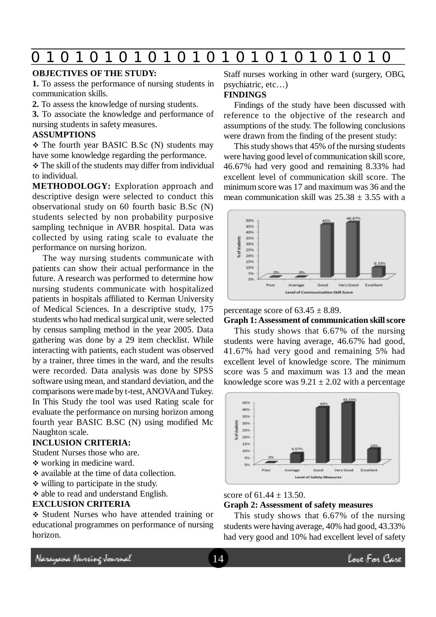# **0 z 0 z 0 z 0 z 0 z 0 z 0 z 0 z 0 z 0 z 0 z 0 z 0**

# **OBJECTIVES OF THE STUDY:**

**1.** To assess the performance of nursing students in communication skills.

**2.** To assess the knowledge of nursing students.

**3.** To associate the knowledge and performance of nursing students in safety measures.

#### **ASSUMPTIONS**

 The fourth year BASIC B.Sc (N) students may have some knowledge regarding the performance.

 The skill of the students may differ from individual to individual.

**METHODOLOGY:** Exploration approach and descriptive design were selected to conduct this observational study on 60 fourth basic B.Sc (N) students selected by non probability purposive sampling technique in AVBR hospital. Data was collected by using rating scale to evaluate the performance on nursing horizon.

The way nursing students communicate with patients can show their actual performance in the future. A research was performed to determine how nursing students communicate with hospitalized patients in hospitals affiliated to Kerman University of Medical Sciences. In a descriptive study, 175 students who had medical surgical unit, were selected by census sampling method in the year 2005. Data gathering was done by a 29 item checklist. While interacting with patients, each student was observed by a trainer, three times in the ward, and the results were recorded. Data analysis was done by SPSS software using mean, and standard deviation, and the comparisons were made by t-test, ANOVA and Tukey. In This Study the tool was used Rating scale for evaluate the performance on nursing horizon among fourth year BASIC B.SC (N) using modified Mc Naughton scale.

#### **INCLUSION CRITERIA:**

Student Nurses those who are.

- working in medicine ward.
- available at the time of data collection.
- $\div$  willing to participate in the study.
- able to read and understand English.

#### **EXCLUSION CRITERIA**

 Student Nurses who have attended training or educational programmes on performance of nursing horizon.

Staff nurses working in other ward (surgery, OBG, psychiatric, etc…)

## **FINDINGS**

Findings of the study have been discussed with reference to the objective of the research and assumptions of the study. The following conclusions were drawn from the finding of the present study:

This study shows that 45% of the nursing students were having good level of communication skill score, 46.67% had very good and remaining 8.33% had excellent level of communication skill score. The minimum score was 17 and maximum was 36 and the mean communication skill was  $25.38 + 3.55$  with a



#### percentage score of  $63.45 \pm 8.89$ .

**Graph 1: Assessment of communication skill score**

This study shows that 6.67% of the nursing students were having average, 46.67% had good, 41.67% had very good and remaining 5% had excellent level of knowledge score. The minimum score was 5 and maximum was 13 and the mean knowledge score was  $9.21 \pm 2.02$  with a percentage



#### score of  $61.44 \pm 13.50$ .

## **Graph 2: Assessment of safety measures**

This study shows that 6.67% of the nursing students were having average, 40% had good, 43.33% had very good and 10% had excellent level of safety

Neregeae Norriog Jamach